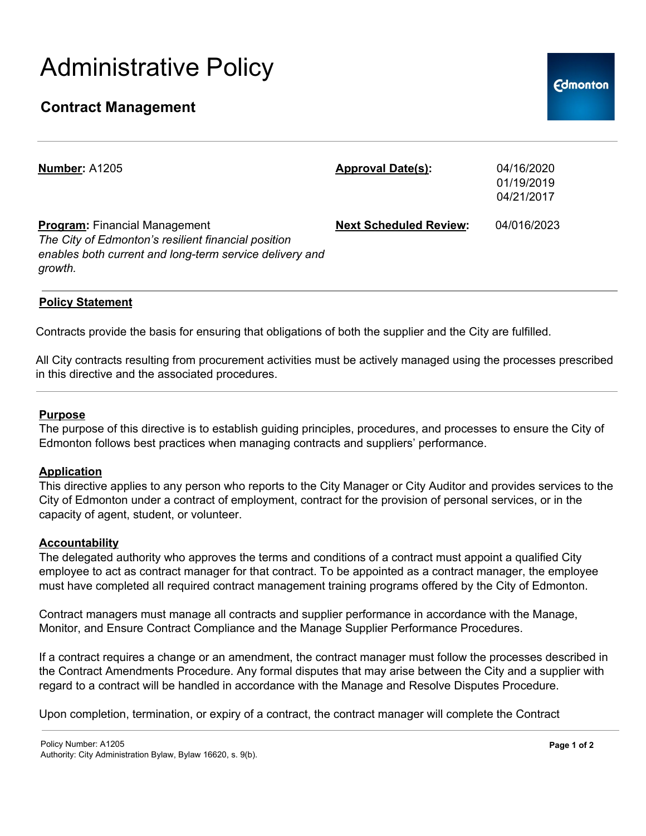# Administrative Policy

## **Contract Management**

| <b>Number: A1205</b>                                                                                                                                              | <b>Approval Date(s):</b>      | 04/16/2020<br>01/19/2019<br>04/21/2017 |
|-------------------------------------------------------------------------------------------------------------------------------------------------------------------|-------------------------------|----------------------------------------|
| <b>Program:</b> Financial Management<br>The City of Edmonton's resilient financial position<br>enables both current and long-term service delivery and<br>growth. | <b>Next Scheduled Review:</b> | 04/016/2023                            |

### **Policy Statement**

Contracts provide the basis for ensuring that obligations of both the supplier and the City are fulfilled.

All City contracts resulting from procurement activities must be actively managed using the processes prescribed in this directive and the associated procedures.

#### **Purpose**

The purpose of this directive is to establish guiding principles, procedures, and processes to ensure the City of Edmonton follows best practices when managing contracts and suppliers' performance.

#### **Application**

This directive applies to any person who reports to the City Manager or City Auditor and provides services to the City of Edmonton under a contract of employment, contract for the provision of personal services, or in the capacity of agent, student, or volunteer.

#### **Accountability**

The delegated authority who approves the terms and conditions of a contract must appoint a qualified City employee to act as contract manager for that contract. To be appointed as a contract manager, the employee must have completed all required contract management training programs offered by the City of Edmonton.

Contract managers must manage all contracts and supplier performance in accordance with the Manage, Monitor, and Ensure Contract Compliance and the Manage Supplier Performance Procedures.

If a contract requires a change or an amendment, the contract manager must follow the processes described in the Contract Amendments Procedure. Any formal disputes that may arise between the City and a supplier with regard to a contract will be handled in accordance with the Manage and Resolve Disputes Procedure.

Upon completion, termination, or expiry of a contract, the contract manager will complete the Contract